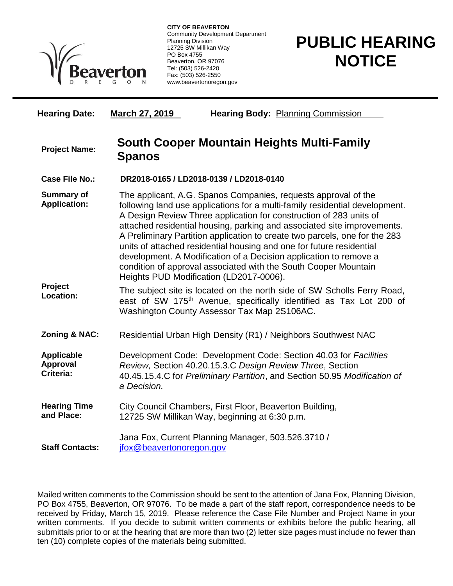

**CITY OF BEAVERTON** Community Development Department Planning Division 12725 SW Millikan Way PO Box 4755 Beaverton, OR 97076 Tel: (503) 526-2420 Fax: (503) 526-2550 www.beavertonoregon.gov

## **PUBLIC HEARING NOTICE**

| <b>Hearing Date:</b>                              | <b>March 27, 2019</b><br><b>Hearing Body: Planning Commission</b>                                                                                                                                                                                                                                                                                                                                                                                                                                                                                                                                                                       |
|---------------------------------------------------|-----------------------------------------------------------------------------------------------------------------------------------------------------------------------------------------------------------------------------------------------------------------------------------------------------------------------------------------------------------------------------------------------------------------------------------------------------------------------------------------------------------------------------------------------------------------------------------------------------------------------------------------|
| <b>Project Name:</b>                              | <b>South Cooper Mountain Heights Multi-Family</b><br><b>Spanos</b>                                                                                                                                                                                                                                                                                                                                                                                                                                                                                                                                                                      |
| Case File No.:                                    | DR2018-0165 / LD2018-0139 / LD2018-0140                                                                                                                                                                                                                                                                                                                                                                                                                                                                                                                                                                                                 |
| <b>Summary of</b><br><b>Application:</b>          | The applicant, A.G. Spanos Companies, requests approval of the<br>following land use applications for a multi-family residential development.<br>A Design Review Three application for construction of 283 units of<br>attached residential housing, parking and associated site improvements.<br>A Preliminary Partition application to create two parcels, one for the 283<br>units of attached residential housing and one for future residential<br>development. A Modification of a Decision application to remove a<br>condition of approval associated with the South Cooper Mountain<br>Heights PUD Modification (LD2017-0006). |
| Project<br>Location:                              | The subject site is located on the north side of SW Scholls Ferry Road,<br>east of SW 175 <sup>th</sup> Avenue, specifically identified as Tax Lot 200 of<br>Washington County Assessor Tax Map 2S106AC.                                                                                                                                                                                                                                                                                                                                                                                                                                |
| <b>Zoning &amp; NAC:</b>                          | Residential Urban High Density (R1) / Neighbors Southwest NAC                                                                                                                                                                                                                                                                                                                                                                                                                                                                                                                                                                           |
| <b>Applicable</b><br><b>Approval</b><br>Criteria: | Development Code: Development Code: Section 40.03 for Facilities<br>Review, Section 40.20.15.3.C Design Review Three, Section<br>40.45.15.4.C for Preliminary Partition, and Section 50.95 Modification of<br>a Decision.                                                                                                                                                                                                                                                                                                                                                                                                               |
| <b>Hearing Time</b><br>and Place:                 | City Council Chambers, First Floor, Beaverton Building,<br>12725 SW Millikan Way, beginning at 6:30 p.m.                                                                                                                                                                                                                                                                                                                                                                                                                                                                                                                                |
| <b>Staff Contacts:</b>                            | Jana Fox, Current Planning Manager, 503.526.3710 /<br>jfox@beavertonoregon.gov                                                                                                                                                                                                                                                                                                                                                                                                                                                                                                                                                          |

Mailed written comments to the Commission should be sent to the attention of Jana Fox, Planning Division, PO Box 4755, Beaverton, OR 97076. To be made a part of the staff report, correspondence needs to be received by Friday, March 15, 2019. Please reference the Case File Number and Project Name in your written comments. If you decide to submit written comments or exhibits before the public hearing, all submittals prior to or at the hearing that are more than two (2) letter size pages must include no fewer than ten (10) complete copies of the materials being submitted.